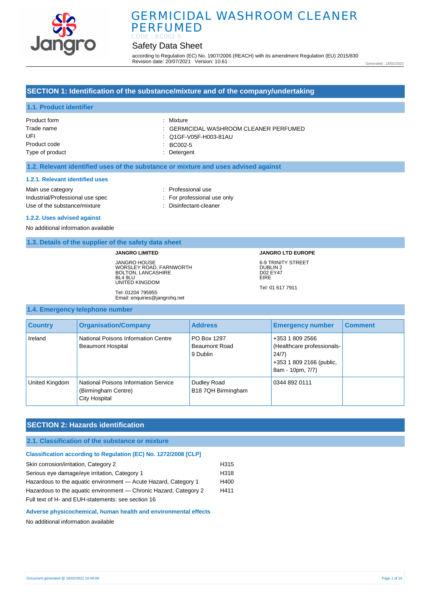

# Safety Data Sheet

according to Regulation (EC) No. 1907/2006 (REACH) with its amendment Regulation (EU) 2015/830 Revision date: 20/07/2021 Version: 10.61

> **JANGRO LTD EUROPE** 6-9 TRINITY STREET DUBLIN 2

D02 EY47 EIRE Tel: 01 617 7911 Generated : 18/02/2022

## **SECTION 1: Identification of the substance/mixture and of the company/undertaking**

## **1.1. Product identifier**

| Product form    | : Mixture                              |
|-----------------|----------------------------------------|
| Trade name      | : GERMICIDAL WASHROOM CLEANER PERFUMED |
| UFI             | : Q1GF-V05F-H003-81AU                  |
| Product code    | BC002-5                                |
| Type of product | : Detergent                            |
|                 |                                        |

#### **1.2. Relevant identified uses of the substance or mixture and uses advised against**

#### **1.2.1. Relevant identified uses**

Main use category **Example 20** and the Main use category **in the Contract 20 and 10 and 10 and 10 and 10 and 10 and 10 and 10 and 10 and 10 and 10 and 10 and 10 and 10 and 10 and 10 and 10 and 10 and 10 and 10 and 10 and 1** Industrial/Professional use spec : For professional use only Use of the substance/mixture in the substance/mixture in the substance of the substance of  $\sim$  2011  $\mu$  2015  $\mu$ 

#### **1.2.2. Uses advised against**

No additional information available

#### **1.3. Details of the supplier of the safety data sheet**

#### **JANGRO LIMITED**

JANGRO HOUSE WORSLEY ROAD, FARNWORTH BOLTON, LANCASHIRE BL4 9LU UNITED KINGDOM

Tel: 01204 795955 Email: enquiries@jangrohq.net

#### **1.4. Emergency telephone number**

#### **Country Organisation/Company Address Emergency number Comment** Ireland National Poisons Information Centre Beaumont Hospital PO Box 1297 Beaumont Road 9 Dublin +353 1 809 2566 (Healthcare professionals-24/7) +353 1 809 2166 (public, 8am - 10pm, 7/7) United Kingdom | National Poisons Information Service (Birmingham Centre) City Hospital Dudley Road B18 7QH Birmingham 0344 892 0111

## **SECTION 2: Hazards identification**

#### **2.1. Classification of the substance or mixture**

## **Classification according to Regulation (EC) No. 1272/2008 [CLP]**

| Skin corrosion/irritation, Category 2                             | H <sub>315</sub> |
|-------------------------------------------------------------------|------------------|
| Serious eye damage/eye irritation, Category 1                     | H318             |
| Hazardous to the aguatic environment - Acute Hazard, Category 1   | H400             |
| Hazardous to the aquatic environment — Chronic Hazard, Category 2 | H411             |
| Full text of H- and EUH-statements: see section 16                |                  |

## **Adverse physicochemical, human health and environmental effects**

No additional information available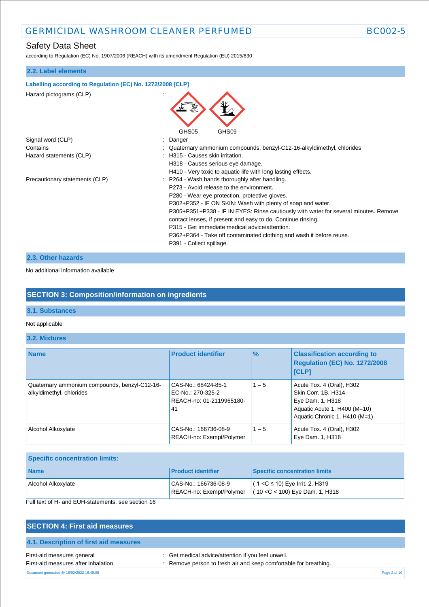# Safety Data Sheet

according to Regulation (EC) No. 1907/2006 (REACH) with its amendment Regulation (EU) 2015/830

| 2.2. Label elements                                        |                                                                                                                                                                                                                                                                                                                                                                                                                                                                                                                           |
|------------------------------------------------------------|---------------------------------------------------------------------------------------------------------------------------------------------------------------------------------------------------------------------------------------------------------------------------------------------------------------------------------------------------------------------------------------------------------------------------------------------------------------------------------------------------------------------------|
| Labelling according to Regulation (EC) No. 1272/2008 [CLP] |                                                                                                                                                                                                                                                                                                                                                                                                                                                                                                                           |
| Hazard pictograms (CLP)                                    |                                                                                                                                                                                                                                                                                                                                                                                                                                                                                                                           |
|                                                            | GHS <sub>05</sub><br>GHS09                                                                                                                                                                                                                                                                                                                                                                                                                                                                                                |
| Signal word (CLP)                                          | Danger                                                                                                                                                                                                                                                                                                                                                                                                                                                                                                                    |
| Contains                                                   | Quaternary ammonium compounds, benzyl-C12-16-alkyldimethyl, chlorides                                                                                                                                                                                                                                                                                                                                                                                                                                                     |
| Hazard statements (CLP)                                    | : H315 - Causes skin irritation.<br>H318 - Causes serious eye damage.<br>H410 - Very toxic to aquatic life with long lasting effects.                                                                                                                                                                                                                                                                                                                                                                                     |
| Precautionary statements (CLP)                             | : P264 - Wash hands thoroughly after handling.<br>P273 - Avoid release to the environment.<br>P280 - Wear eye protection, protective gloves.<br>P302+P352 - IF ON SKIN: Wash with plenty of soap and water.<br>P305+P351+P338 - IF IN EYES: Rinse cautiously with water for several minutes. Remove<br>contact lenses, if present and easy to do. Continue rinsing.<br>P315 - Get immediate medical advice/attention.<br>P362+P364 - Take off contaminated clothing and wash it before reuse.<br>P391 - Collect spillage. |

## **2.3. Other hazards**

## No additional information available

# **SECTION 3: Composition/information on ingredients**

## **3.1. Substances**

#### Not applicable

# **3.2. Mixtures**

| <b>Name</b>                                                               | <b>Product identifier</b>                                                  | $\frac{9}{6}$ | <b>Classification according to</b><br>Regulation (EC) No. 1272/2008<br><b>ICLP1</b>                                                   |
|---------------------------------------------------------------------------|----------------------------------------------------------------------------|---------------|---------------------------------------------------------------------------------------------------------------------------------------|
| Quaternary ammonium compounds, benzyl-C12-16-<br>alkyldimethyl, chlorides | CAS-No.: 68424-85-1<br>EC-No.: 270-325-2<br>REACH-no: 01-2119965180-<br>41 | $1 - 5$       | Acute Tox. 4 (Oral), H302<br>Skin Corr. 1B, H314<br>Eye Dam. 1, H318<br>Aquatic Acute 1, H400 (M=10)<br>Aquatic Chronic 1, H410 (M=1) |
| Alcohol Alkoxylate                                                        | CAS-No.: 166736-08-9<br>REACH-no: Exempt/Polymer                           | $1 - 5$       | Acute Tox. 4 (Oral), H302<br>Eye Dam. 1, H318                                                                                         |

| <b>Specific concentration limits:</b> |                           |                                                                                                   |
|---------------------------------------|---------------------------|---------------------------------------------------------------------------------------------------|
| <b>Name</b>                           | <b>Product identifier</b> | Specific concentration limits                                                                     |
| Alcohol Alkoxylate                    | CAS-No.: 166736-08-9      | $(1 < C \le 10)$ Eye Irrit. 2, H319<br>REACH-no: Exempt/Polymer $(10 < C < 100)$ Eye Dam. 1, H318 |

Full text of H- and EUH-statements: see section 16

| <b>SECTION 4: First aid measures</b>                              |                                                                                                                        |              |
|-------------------------------------------------------------------|------------------------------------------------------------------------------------------------------------------------|--------------|
| 4.1. Description of first aid measures                            |                                                                                                                        |              |
| First-aid measures general<br>First-aid measures after inhalation | : Get medical advice/attention if you feel unwell.<br>: Remove person to fresh air and keep comfortable for breathing. |              |
| Document generated @ 18/02/2022 16:49:08                          |                                                                                                                        | Page 2 of 10 |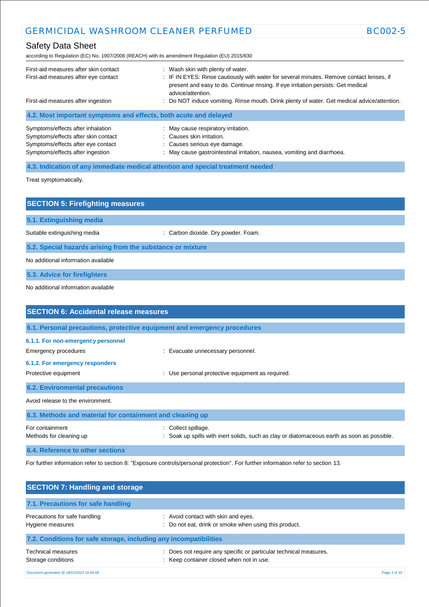## Safety Data Sheet

according to Regulation (EC) No. 1907/2006 (REACH) with its amendment Regulation (EU) 2015/830

| First-aid measures after skin contact<br>First-aid measures after eye contact<br>First-aid measures after ingestion | : Wash skin with plenty of water.<br>: IF IN EYES: Rinse cautiously with water for several minutes. Remove contact lenses, if<br>present and easy to do. Continue rinsing. If eye irritation persists: Get medical<br>advice/attention.<br>: Do NOT induce vomiting. Rinse mouth. Drink plenty of water. Get medical advice/attention. |
|---------------------------------------------------------------------------------------------------------------------|----------------------------------------------------------------------------------------------------------------------------------------------------------------------------------------------------------------------------------------------------------------------------------------------------------------------------------------|
| 4.2. Most important symptoms and effects, both acute and delayed                                                    |                                                                                                                                                                                                                                                                                                                                        |
| Symptoms/effects after inhalation<br>Symptoms/effects after skin contact                                            | : May cause respiratory irritation.<br>: Causes skin irritation.                                                                                                                                                                                                                                                                       |

- Symptoms/effects after eye contact : Causes serious eye damage.
- Symptoms/effects after ingestion : May cause gastrointestinal irritation, nausea, vomiting and diarrhoea.

**4.3. Indication of any immediate medical attention and special treatment needed**

Treat symptomatically.

| <b>SECTION 5: Firefighting measures</b>                                  |                                                |
|--------------------------------------------------------------------------|------------------------------------------------|
| 5.1. Extinguishing media                                                 |                                                |
| Suitable extinguishing media                                             | Carbon dioxide. Dry powder. Foam.              |
| 5.2. Special hazards arising from the substance or mixture               |                                                |
| No additional information available                                      |                                                |
| 5.3. Advice for firefighters                                             |                                                |
| No additional information available                                      |                                                |
|                                                                          |                                                |
| <b>SECTION 6: Accidental release measures</b>                            |                                                |
| 6.1. Personal precautions, protective equipment and emergency procedures |                                                |
| 6.1.1. For non-emergency personnel                                       |                                                |
| Emergency procedures                                                     | : Evacuate unnecessary personnel.              |
| 6.1.2. For emergency responders                                          |                                                |
| Protective equipment                                                     | Use personal protective equipment as required. |
| <b>6.2. Environmental precautions</b>                                    |                                                |
| Avoid release to the environment.                                        |                                                |
| 6.3. Methods and material for containment and cleaning up                |                                                |

| For containment                  | : Collect spillage.                                                                         |
|----------------------------------|---------------------------------------------------------------------------------------------|
| Methods for cleaning up          | : Soak up spills with inert solids, such as clay or diatomaceous earth as soon as possible. |
| 6.4. Reference to other sections |                                                                                             |

For further information refer to section 8: "Exposure controls/personal protection". For further information refer to section 13.

| <b>SECTION 7: Handling and storage</b>                            |                                                                                                             |              |
|-------------------------------------------------------------------|-------------------------------------------------------------------------------------------------------------|--------------|
| 7.1. Precautions for safe handling                                |                                                                                                             |              |
| Precautions for safe handling<br>Hygiene measures                 | : Avoid contact with skin and eyes.<br>: Do not eat, drink or smoke when using this product.                |              |
| 7.2. Conditions for safe storage, including any incompatibilities |                                                                                                             |              |
| <b>Technical measures</b><br>Storage conditions                   | Does not require any specific or particular technical measures.<br>: Keep container closed when not in use. |              |
| Document generated @ 18/02/2022 16:49:08                          |                                                                                                             | Page 3 of 10 |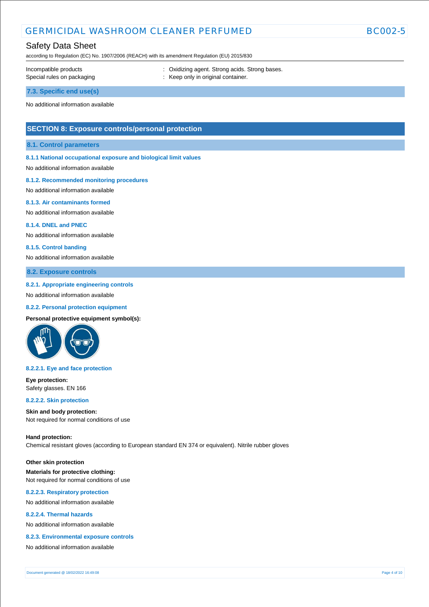# GERMICIDAL WASHROOM CLEANER PERFUMED **STATES AND SECULAR BCOO2-**

# Safety Data Sheet

according to Regulation (EC) No. 1907/2006 (REACH) with its amendment Regulation (EU) 2015/830

Special rules on packaging **interpretate and the Container** : Keep only in original container.

Incompatible products and the compatible products of the compatible products of the compatible products of the company of the compatible products of the company of the company of the company of the company of the company o

**7.3. Specific end use(s)**

No additional information available

## **SECTION 8: Exposure controls/personal protection**

#### **8.1. Control parameters**

#### **8.1.1 National occupational exposure and biological limit values**

No additional information available

#### **8.1.2. Recommended monitoring procedures**

No additional information available

#### **8.1.3. Air contaminants formed**

No additional information available

#### **8.1.4. DNEL and PNEC**

No additional information available

#### **8.1.5. Control banding**

No additional information available

**8.2. Exposure controls**

#### **8.2.1. Appropriate engineering controls**

No additional information available

#### **8.2.2. Personal protection equipment**

**Personal protective equipment symbol(s):**



#### **8.2.2.1. Eye and face protection**

**Eye protection:** Safety glasses. EN 166

#### **8.2.2.2. Skin protection**

**Skin and body protection:** Not required for normal conditions of use

**Hand protection:** Chemical resistant gloves (according to European standard EN 374 or equivalent). Nitrile rubber gloves

## **Other skin protection**

**Materials for protective clothing:** Not required for normal conditions of use

#### **8.2.2.3. Respiratory protection**

No additional information available

#### **8.2.2.4. Thermal hazards**

No additional information available

#### **8.2.3. Environmental exposure controls**

No additional information available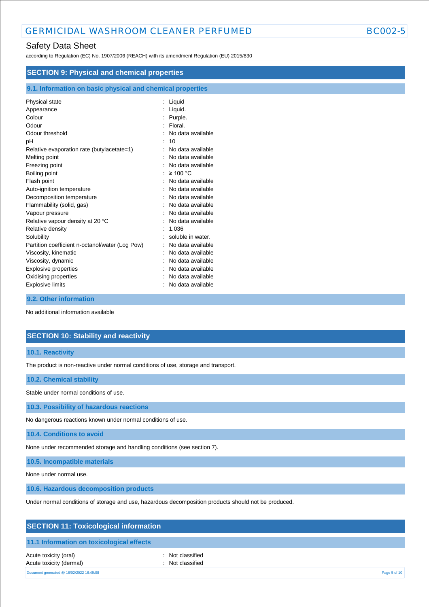according to Regulation (EC) No. 1907/2006 (REACH) with its amendment Regulation (EU) 2015/830

| <b>SECTION 9: Physical and chemical properties</b>         |                   |  |
|------------------------------------------------------------|-------------------|--|
| 9.1. Information on basic physical and chemical properties |                   |  |
| Physical state                                             | : Liquid          |  |
| Appearance                                                 | : Liquid.         |  |
| Colour                                                     | : Purple.         |  |
| Odour                                                      | Floral.           |  |
| Odour threshold                                            | No data available |  |
| рH                                                         | 10                |  |
| Relative evaporation rate (butylacetate=1)                 | No data available |  |
| Melting point                                              | No data available |  |
| Freezing point                                             | No data available |  |
| Boiling point                                              | : $\geq 100$ °C   |  |
| Flash point                                                | No data available |  |
| Auto-ignition temperature                                  | No data available |  |
| Decomposition temperature                                  | No data available |  |
| Flammability (solid, gas)                                  | No data available |  |
| Vapour pressure                                            | No data available |  |
| Relative vapour density at 20 °C                           | No data available |  |
| Relative density                                           | 1.036             |  |
| Solubility                                                 | soluble in water. |  |
| Partition coefficient n-octanol/water (Log Pow)            | No data available |  |
| Viscosity, kinematic                                       | No data available |  |
| Viscosity, dynamic                                         | No data available |  |
| Explosive properties                                       | No data available |  |
| Oxidising properties                                       | No data available |  |
| Explosive limits                                           | No data available |  |

#### **9.2. Other information**

No additional information available

## **SECTION 10: Stability and reactivity**

#### **10.1. Reactivity**

The product is non-reactive under normal conditions of use, storage and transport.

#### **10.2. Chemical stability**

Stable under normal conditions of use.

**10.3. Possibility of hazardous reactions**

No dangerous reactions known under normal conditions of use.

**10.4. Conditions to avoid**

None under recommended storage and handling conditions (see section 7).

**10.5. Incompatible materials**

None under normal use.

**10.6. Hazardous decomposition products**

Under normal conditions of storage and use, hazardous decomposition products should not be produced.

# **SECTION 11: Toxicological information**

## **11.1 Information on toxicological effects**

Acute toxicity (oral) **Example 2** Contract 2 Contract 2 Contract 2 Contract 2 Contract 2 Contract 2 Contract 2 Contract 2 Contract 2 Contract 2 Contract 2 Contract 2 Contract 2 Contract 2 Contract 2 Contract 2 Contract 2 C Acute toxicity (dermal) **and in the case of the contract of the contract of the contract of the contract of the contract of the contract of the contract of the contract of the contract of the contract of the contract of th** 

Document generated @ 18/02/2022 16:49:08 Page 5 of 10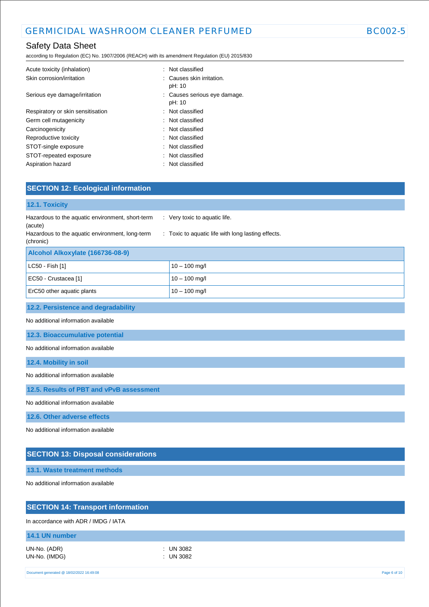# Safety Data Sheet

according to Regulation (EC) No. 1907/2006 (REACH) with its amendment Regulation (EU) 2015/830

| Acute toxicity (inhalation)       | : Not classified             |
|-----------------------------------|------------------------------|
| Skin corrosion/irritation         | : Causes skin irritation.    |
|                                   | pH: 10                       |
| Serious eye damage/irritation     | : Causes serious eye damage. |
|                                   | pH: 10                       |
| Respiratory or skin sensitisation | : Not classified             |
| Germ cell mutagenicity            | : Not classified             |
| Carcinogenicity                   | : Not classified             |
| Reproductive toxicity             | : Not classified             |
| STOT-single exposure              | : Not classified             |
| STOT-repeated exposure            | : Not classified             |
| Aspiration hazard                 | : Not classified             |
|                                   |                              |

# **SECTION 12: Ecological information**

| <b>SECTION 12. ECOLOGICAL INTOITMATION</b>                                                                                  |                                                                                     |  |
|-----------------------------------------------------------------------------------------------------------------------------|-------------------------------------------------------------------------------------|--|
| 12.1. Toxicity                                                                                                              |                                                                                     |  |
| Hazardous to the aquatic environment, short-term<br>(acute)<br>Hazardous to the aquatic environment, long-term<br>(chronic) | : Very toxic to aquatic life.<br>: Toxic to aquatic life with long lasting effects. |  |
| Alcohol Alkoxylate (166736-08-9)                                                                                            |                                                                                     |  |
| LC50 - Fish [1]                                                                                                             | $10 - 100$ mg/l                                                                     |  |
| EC50 - Crustacea [1]                                                                                                        | $10 - 100$ mg/l                                                                     |  |
| ErC50 other aquatic plants                                                                                                  | $10 - 100$ mg/l                                                                     |  |
| 12.2. Persistence and degradability                                                                                         |                                                                                     |  |
| No additional information available                                                                                         |                                                                                     |  |
| 12.3. Bioaccumulative potential                                                                                             |                                                                                     |  |
| No additional information available                                                                                         |                                                                                     |  |
| 12.4. Mobility in soil                                                                                                      |                                                                                     |  |
| No additional information available                                                                                         |                                                                                     |  |
| 12.5. Results of PBT and vPvB assessment                                                                                    |                                                                                     |  |
| No additional information available                                                                                         |                                                                                     |  |
| 12.6. Other adverse effects                                                                                                 |                                                                                     |  |
| No additional information available                                                                                         |                                                                                     |  |

# **SECTION 13: Disposal considerations**

**13.1. Waste treatment methods**

No additional information available

# **SECTION 14: Transport information**

In accordance with ADR / IMDG / IATA

# **14.1 UN number**

| UN-No. (ADR)  | $:$ UN 3082 |
|---------------|-------------|
| UN-No. (IMDG) | $:$ UN 3082 |

Document generated @ 18/02/2022 16:49:08 Page 6 of 10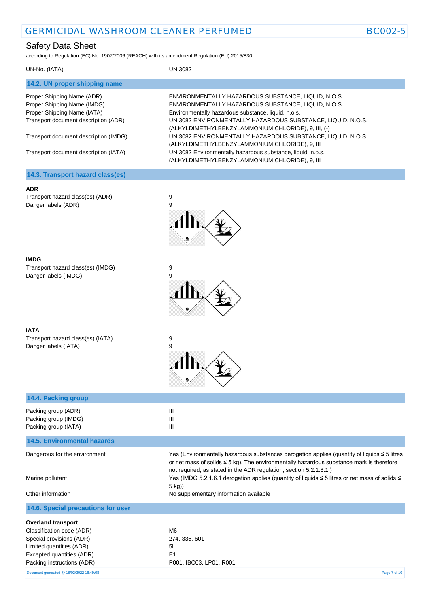# Safety Data Sheet

according to Regulation (EC) No. 1907/2006 (REACH) with its amendment Regulation (EU) 2015/830

| UN-No. (IATA)                         | : UN 3082                                                                                                            |
|---------------------------------------|----------------------------------------------------------------------------------------------------------------------|
| 14.2. UN proper shipping name         |                                                                                                                      |
| Proper Shipping Name (ADR)            | : ENVIRONMENTALLY HAZARDOUS SUBSTANCE, LIQUID, N.O.S.                                                                |
| Proper Shipping Name (IMDG)           | : ENVIRONMENTALLY HAZARDOUS SUBSTANCE, LIQUID, N.O.S.                                                                |
| Proper Shipping Name (IATA)           | : Environmentally hazardous substance, liquid, n.o.s.                                                                |
| Transport document description (ADR)  | : UN 3082 ENVIRONMENTALLY HAZARDOUS SUBSTANCE, LIQUID, N.O.S.<br>(ALKYLDIMETHYLBENZYLAMMONIUM CHLORIDE), 9, III, (-) |
| Transport document description (IMDG) | : UN 3082 ENVIRONMENTALLY HAZARDOUS SUBSTANCE, LIQUID, N.O.S.<br>(ALKYLDIMETHYLBENZYLAMMONIUM CHLORIDE), 9, III      |
| Transport document description (IATA) | : UN 3082 Environmentally hazardous substance, liquid, n.o.s.<br>(ALKYLDIMETHYLBENZYLAMMONIUM CHLORIDE), 9, III      |

# **14.3. Transport hazard class(es)**

**ADR** Transport hazard class(es) (ADR) : 9 Danger labels (ADR)  $\qquad \qquad$  : 9



#### **IMDG**

Transport hazard class(es) (IMDG) : 9 Danger labels (IMDG)  $\qquad \qquad$  : 9



## **IATA**

Transport hazard class(es) (IATA) : 9 Danger labels (IATA)  $\qquad \qquad$  : 9

# :

| 14.4. Packing group                                                 |                                                                                                                                                                                                                                                                            |
|---------------------------------------------------------------------|----------------------------------------------------------------------------------------------------------------------------------------------------------------------------------------------------------------------------------------------------------------------------|
| Packing group (ADR)<br>Packing group (IMDG)<br>Packing group (IATA) | : III<br>: III<br>$\therefore$ $\blacksquare$                                                                                                                                                                                                                              |
| <b>14.5. Environmental hazards</b>                                  |                                                                                                                                                                                                                                                                            |
| Dangerous for the environment                                       | : Yes (Environmentally hazardous substances derogation applies (quantity of liquids $\leq$ 5 litres<br>or net mass of solids $\leq$ 5 kg). The environmentally hazardous substance mark is therefore<br>not required, as stated in the ADR regulation, section 5.2.1.8.1.) |
| Marine pollutant                                                    | : Yes (IMDG 5.2.1.6.1 derogation applies (quantity of liquids $\leq$ 5 litres or net mass of solids $\leq$<br>5 kg))                                                                                                                                                       |
| Other information                                                   | : No supplementary information available                                                                                                                                                                                                                                   |
| 14.6. Special precautions for user                                  |                                                                                                                                                                                                                                                                            |
| <b>Overland transport</b>                                           |                                                                                                                                                                                                                                                                            |
| Classification code (ADR)                                           | : M6                                                                                                                                                                                                                                                                       |
| Special provisions (ADR)                                            | : 274, 335, 601                                                                                                                                                                                                                                                            |
| Limited quantities (ADR)                                            | : 51                                                                                                                                                                                                                                                                       |
| Excepted quantities (ADR)                                           | $\therefore$ E1                                                                                                                                                                                                                                                            |
| Packing instructions (ADR)                                          | : P001, IBC03, LP01, R001                                                                                                                                                                                                                                                  |
| Document generated @ 18/02/2022 16:49:08                            | Page 7 of 10                                                                                                                                                                                                                                                               |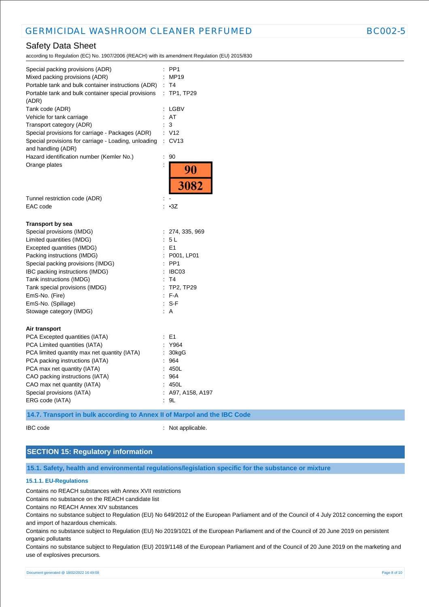# Safety Data Sheet

according to Regulation (EC) No. 1907/2006 (REACH) with its amendment Regulation (EU) 2015/830

| Special packing provisions (ADR)<br>Mixed packing provisions (ADR)<br>Portable tank and bulk container instructions (ADR)<br>Portable tank and bulk container special provisions                                                                                                                                                                                  | PP <sub>1</sub><br>MP19<br>: T4<br>$:$ TP1, TP29                                                                                                   |
|-------------------------------------------------------------------------------------------------------------------------------------------------------------------------------------------------------------------------------------------------------------------------------------------------------------------------------------------------------------------|----------------------------------------------------------------------------------------------------------------------------------------------------|
| (ADR)<br>Tank code (ADR)<br>Vehicle for tank carriage<br>Transport category (ADR)<br>Special provisions for carriage - Packages (ADR)<br>Special provisions for carriage - Loading, unloading<br>and handling (ADR)                                                                                                                                               | LGBV<br>AT<br>$\ddot{\cdot}$<br>3<br>: V12<br>$\therefore$ CV13                                                                                    |
| Hazard identification number (Kemler No.)<br>Orange plates                                                                                                                                                                                                                                                                                                        | 90<br>$\overline{\phantom{a}}$<br>$\ddot{\cdot}$<br>90<br>3082                                                                                     |
| Tunnel restriction code (ADR)<br>EAC code                                                                                                                                                                                                                                                                                                                         | $-3Z$                                                                                                                                              |
| Transport by sea<br>Special provisions (IMDG)<br>Limited quantities (IMDG)<br>Excepted quantities (IMDG)<br>Packing instructions (IMDG)<br>Special packing provisions (IMDG)<br>IBC packing instructions (IMDG)<br>Tank instructions (IMDG)<br>Tank special provisions (IMDG)<br>EmS-No. (Fire)<br>EmS-No. (Spillage)<br>Stowage category (IMDG)<br>Air transport | : 274, 335, 969<br>5 L<br>E1<br>P001, LP01<br>PP <sub>1</sub><br>IBC03<br>T <sub>4</sub><br><b>TP2, TP29</b><br>$F-A$<br>$: S-F$<br>$\overline{A}$ |
| PCA Excepted quantities (IATA)<br>PCA Limited quantities (IATA)<br>PCA limited quantity max net quantity (IATA)<br>PCA packing instructions (IATA)<br>PCA max net quantity (IATA)<br>CAO packing instructions (IATA)<br>CAO max net quantity (IATA)<br>Special provisions (IATA)<br>ERG code (IATA)                                                               | E1<br>$\ddot{\phantom{a}}$<br>Y964<br>30kgG<br>964<br>÷<br>450L<br>964<br>450L<br>A97, A158, A197<br>9L                                            |

# **14.7. Transport in bulk according to Annex II of Marpol and the IBC Code**

IBC code : Not applicable.

## **SECTION 15: Regulatory information**

## **15.1. Safety, health and environmental regulations/legislation specific for the substance or mixture**

#### **15.1.1. EU-Regulations**

Contains no REACH substances with Annex XVII restrictions

Contains no substance on the REACH candidate list

Contains no REACH Annex XIV substances

Contains no substance subject to Regulation (EU) No 649/2012 of the European Parliament and of the Council of 4 July 2012 concerning the export and import of hazardous chemicals.

Contains no substance subject to Regulation (EU) No 2019/1021 of the European Parliament and of the Council of 20 June 2019 on persistent organic pollutants

Contains no substance subject to Regulation (EU) 2019/1148 of the European Parliament and of the Council of 20 June 2019 on the marketing and use of explosives precursors.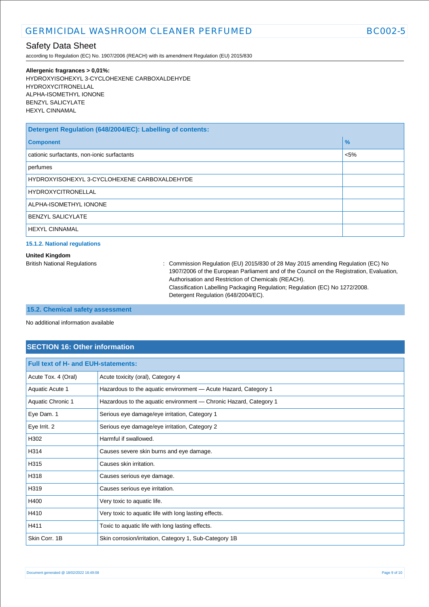# Safety Data Sheet

according to Regulation (EC) No. 1907/2006 (REACH) with its amendment Regulation (EU) 2015/830

#### **Allergenic fragrances > 0,01%:**

HYDROXYISOHEXYL 3-CYCLOHEXENE CARBOXALDEHYDE HYDROXYCITRONELLAL ALPHA-ISOMETHYL IONONE BENZYL SALICYLATE HEXYL CINNAMAL

| Detergent Regulation (648/2004/EC): Labelling of contents: |               |  |
|------------------------------------------------------------|---------------|--|
| <b>Component</b>                                           | $\frac{9}{6}$ |  |
| cationic surfactants, non-ionic surfactants                | $< 5\%$       |  |
| perfumes                                                   |               |  |
| HYDROXYISOHEXYL 3-CYCLOHEXENE CARBOXALDEHYDE               |               |  |
| <b>HYDROXYCITRONELLAL</b>                                  |               |  |
| <b>ALPHA-ISOMETHYL IONONE</b>                              |               |  |
| <b>BENZYL SALICYLATE</b>                                   |               |  |
| <b>HEXYL CINNAMAL</b>                                      |               |  |

#### **15.1.2. National regulations**

#### **United Kingdom**

British National Regulations : Commission Regulation (EU) 2015/830 of 28 May 2015 amending Regulation (EC) No 1907/2006 of the European Parliament and of the Council on the Registration, Evaluation, Authorisation and Restriction of Chemicals (REACH). Classification Labelling Packaging Regulation; Regulation (EC) No 1272/2008. Detergent Regulation (648/2004/EC).

#### **15.2. Chemical safety assessment**

No additional information available

## **SECTION 16: Other information**

#### **Full text of H- and EUH-statements:**

| Acute Tox. 4 (Oral) | Acute toxicity (oral), Category 4                                 |  |
|---------------------|-------------------------------------------------------------------|--|
| Aquatic Acute 1     | Hazardous to the aquatic environment - Acute Hazard, Category 1   |  |
| Aquatic Chronic 1   | Hazardous to the aquatic environment — Chronic Hazard, Category 1 |  |
| Eye Dam. 1          | Serious eye damage/eye irritation, Category 1                     |  |
| Eye Irrit. 2        | Serious eye damage/eye irritation, Category 2                     |  |
| H302                | Harmful if swallowed.                                             |  |
| H314                | Causes severe skin burns and eye damage.                          |  |
| H315                | Causes skin irritation.                                           |  |
| H318                | Causes serious eye damage.                                        |  |
| H319                | Causes serious eye irritation.                                    |  |
| H400                | Very toxic to aquatic life.                                       |  |
| H410                | Very toxic to aquatic life with long lasting effects.             |  |
| H411                | Toxic to aquatic life with long lasting effects.                  |  |
| Skin Corr. 1B       | Skin corrosion/irritation, Category 1, Sub-Category 1B            |  |